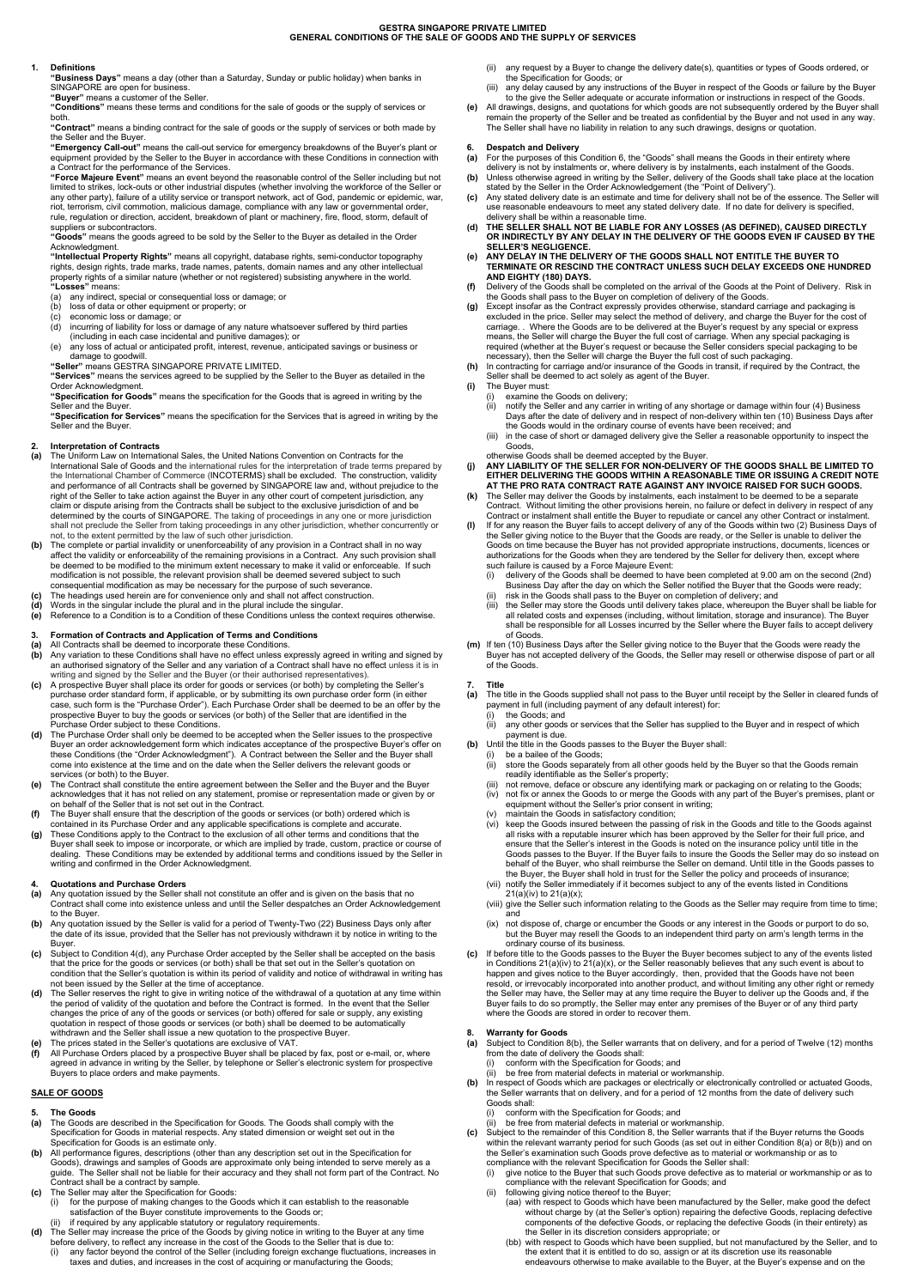## GESTRA SINGAPORE PRIVATE LIMITED GENERAL CONDITIONS OF THE SALE OF GOODS AND THE SUPPLY OF SERVICES

## 1. Definitions

 "Business Days" means a day (other than a Saturday, Sunday or public holiday) when banks in SINGAPORE are open for business.

"Buyer" means a customer of the Seller

"Contract" means a binding contract for the sale of goods or the supply of services or both made by the Seller and the Buyer.

 "Conditions" means these terms and conditions for the sale of goods or the supply of services or both.

 "Force Majeure Event" means an event beyond the reasonable control of the Seller including but not limited to strikes, lock-outs or other industrial disputes (whether involving the workforce of the Seller or any other party), failure of a utility service or transport network, act of God, pandemic or epidemic, war, riot, terrorism, civil commotion, malicious damage, compliance with any law or governmental order, rule, regulation or direction, accident, breakdown of plant or machinery, fire, flood, storm, default of suppliers or subcontractors.

 "Emergency Call-out" means the call-out service for emergency breakdowns of the Buyer's plant or equipment provided by the Seller to the Buyer in accordance with these Conditions in connection with a Contract for the performance of the Services.

"Goods" means the goods agreed to be sold by the Seller to the Buyer as detailed in the Order Acknowledgment.

"Intellectual Property Rights" means all copyright, database rights, semi-conductor topography rights, design rights, trade marks, trade names, patents, domain names and any other intellectual property rights of a similar nature (whether or not registered) subsisting anywhere in the world. "Losses" means:

"Services" means the services agreed to be supplied by the Seller to the Buyer as detailed in the Order Acknowledgment.

"Specification for Services" means the specification for the Services that is agreed in writing by the Seller and the Buyer.

(a) any indirect, special or consequential loss or damage; or

- (b) loss of data or other equipment or property; or
- (c) economic loss or damage; or
- (d) incurring of liability for loss or damage of any nature whatsoever suffered by third parties (including in each case incidental and punitive damages); or
- (e) any loss of actual or anticipated profit, interest, revenue, anticipated savings or business or damage to goodwill.

"Seller" means GESTRA SINGAPORE PRIVATE LIMITED.

- (b) Any variation to these Conditions shall have no effect unless expressly agreed in writing and signed by an authorised signatory of the Seller and any variation of a Contract shall have no effect unless it is in writing and signed by the Seller and the Buyer (or their authorised representatives).
- (c) A prospective Buyer shall place its order for goods or services (or both) by completing the Seller's purchase order standard form, if applicable, or by submitting its own purchase order form (in either case, such form is the "Purchase Order"). Each Purchase Order shall be deemed to be an offer by the prospective Buyer to buy the goods or services (or both) of the Seller that are identified in the Purchase Order subject to these Conditions.
- (d) The Purchase Order shall only be deemed to be accepted when the Seller issues to the prospective Buyer an order acknowledgement form which indicates acceptance of the prospective Buyer's offer on these Conditions (the "Order Acknowledgment"). A Contract between the Seller and the Buyer shall come into existence at the time and on the date when the Seller delivers the relevant goods or services (or both) to the Buyer.
- The Contract shall constitute the entire agreement between the Seller and the Buyer and the Buyer acknowledges that it has not relied on any statement, promise or representation made or given by or on behalf of the Seller that is not set out in the Contract.
- (f) The Buyer shall ensure that the description of the goods or services (or both) ordered which is contained in its Purchase Order and any applicable specifications is complete and accurate.
- (g) These Conditions apply to the Contract to the exclusion of all other terms and conditions that the Buyer shall seek to impose or incorporate, or which are implied by trade, custom, practice or course of dealing. These Conditions may be extended by additional terms and conditions issued by the Seller in writing and confirmed in the Order Acknowledgment.

 "Specification for Goods" means the specification for the Goods that is agreed in writing by the Seller and the Buyer.

## 2. Interpretation of Contracts

- (a) The Uniform Law on International Sales, the United Nations Convention on Contracts for the International Sale of Goods and the international rules for the interpretation of trade terms prepared by the International Chamber of Commerce (INCOTERMS) shall be excluded. The construction, validity and performance of all Contracts shall be governed by SINGAPORE law and, without prejudice to the right of the Seller to take action against the Buyer in any other court of competent jurisdiction, any claim or dispute arising from the Contracts shall be subject to the exclusive jurisdiction of and be determined by the courts of SINGAPORE. The taking of proceedings in any one or more jurisdiction shall not preclude the Seller from taking proceedings in any other jurisdiction, whether concurrently or not, to the extent permitted by the law of such other jurisdiction.
- (b) The complete or partial invalidity or unenforceability of any provision in a Contract shall in no way affect the validity or enforceability of the remaining provisions in a Contract. Any such provision shall be deemed to be modified to the minimum extent necessary to make it valid or enforceable. If such modification is not possible, the relevant provision shall be deemed severed subject to such consequential modification as may be necessary for the purpose of such severance.
- (c) The headings used herein are for convenience only and shall not affect construction.
- (d) Words in the singular include the plural and in the plural include the singular.
- (e) Reference to a Condition is to a Condition of these Conditions unless the context requires otherwise.

# 3. Formation of Contracts and Application of Terms and Conditions

(a) All Contracts shall be deemed to incorporate these Conditions.

# 4. Quotations and Purchase Orders

- (a) Any quotation issued by the Seller shall not constitute an offer and is given on the basis that no Contract shall come into existence unless and until the Seller despatches an Order Acknowledgement to the Buyer.
- (b) Any quotation issued by the Seller is valid for a period of Twenty-Two (22) Business Days only after the date of its issue, provided that the Seller has not previously withdrawn it by notice in writing to the Buyer.
- (c) Subject to Condition 4(d), any Purchase Order accepted by the Seller shall be accepted on the basis that the price for the goods or services (or both) shall be that set out in the Seller's quotation on condition that the Seller's quotation is within its period of validity and notice of withdrawal in writing has

# SALE OF GOODS

### 5. The Goods

resold, or irrevocably incorporated into another product, and without limiting any other right or remedy the Seller may have, the Seller may at any time require the Buyer to deliver up the Goods and, if the Buyer fails to do so promptly, the Seller may enter any premises of the Buyer or of any third party where the Goods are stored in order to recover them.

- (a) The Goods are described in the Specification for Goods. The Goods shall comply with the Specification for Goods in material respects. Any stated dimension or weight set out in the Specification for Goods is an estimate only.
- (b) All performance figures, descriptions (other than any description set out in the Specification for Goods), drawings and samples of Goods are approximate only being intended to serve merely as a guide. The Seller shall not be liable for their accuracy and they shall not form part of the Contract. No Contract shall be a contract by sample.
- (c) The Seller may alter the Specification for Goods:
	- (i) for the purpose of making changes to the Goods which it can establish to the reasonable satisfaction of the Buyer constitute improvements to the Goods or;
	- (ii) if required by any applicable statutory or regulatory requirements.
- (d) The Seller may increase the price of the Goods by giving notice in writing to the Buyer at any time before delivery, to reflect any increase in the cost of the Goods to the Seller that is due to:
	- (i) any factor beyond the control of the Seller (including foreign exchange fluctuations, increases in taxes and duties, and increases in the cost of acquiring or manufacturing the Goods;
- (ii) any request by a Buyer to change the delivery date(s), quantities or types of Goods ordered, or the Specification for Goods; or
- (iii) any delay caused by any instructions of the Buyer in respect of the Goods or failure by the Buyer to the give the Seller adequate or accurate information or instructions in respect of the Goods.
- (e) All drawings, designs, and quotations for which goods are not subsequently ordered by the Buyer shall remain the property of the Seller and be treated as confidential by the Buyer and not used in any way. The Seller shall have no liability in relation to any such drawings, designs or quotation.

## 6. Despatch and Delivery

- (a) For the purposes of this Condition 6, the "Goods" shall means the Goods in their entirety where delivery is not by instalments or, where delivery is by instalments, each instalment of the Goods.
- (b) Unless otherwise agreed in writing by the Seller, delivery of the Goods shall take place at the location stated by the Seller in the Order Acknowledgement (the "Point of Delivery").
- (c) Any stated delivery date is an estimate and time for delivery shall not be of the essence. The Seller will use reasonable endeavours to meet any stated delivery date. If no date for delivery is specified, delivery shall be within a reasonable time.
- (d) THE SELLER SHALL NOT BE LIABLE FOR ANY LOSSES (AS DEFINED), CAUSED DIRECTLY OR INDIRECTLY BY ANY DELAY IN THE DELIVERY OF THE GOODS EVEN IF CAUSED BY THE SELLER'S NEGLIGENCE.
- (e) ANY DELAY IN THE DELIVERY OF THE GOODS SHALL NOT ENTITLE THE BUYER TO TERMINATE OR RESCIND THE CONTRACT UNLESS SUCH DELAY EXCEEDS ONE HUNDRED AND EIGHTY (180) DAYS.
- (f) Delivery of the Goods shall be completed on the arrival of the Goods at the Point of Delivery. Risk in the Goods shall pass to the Buyer on completion of delivery of the Goods.
- (g) Except insofar as the Contract expressly provides otherwise, standard carriage and packaging is excluded in the price. Seller may select the method of delivery, and charge the Buyer for the cost of carriage. . Where the Goods are to be delivered at the Buyer's request by any special or express means, the Seller will charge the Buyer the full cost of carriage. When any special packaging is required (whether at the Buyer's request or because the Seller considers special packaging to be necessary), then the Seller will charge the Buyer the full cost of such packaging.

- (a) The title in the Goods supplied shall not pass to the Buyer until receipt by the Seller in cleared funds of
	- payment in full (including payment of any default interest) for:
	- the Goods; and (ii) any other goods or services that the Seller has supplied to the Buyer and in respect of which
- payment is due. (b) Until the title in the Goods passes to the Buyer the Buyer shall:
	- be a bailee of the Goods;
	- (ii) store the Goods separately from all other goods held by the Buyer so that the Goods remain readily identifiable as the Seller's property;
	- not remove, deface or obscure any identifying mark or packaging on or relating to the Goods;
	- (iv) not fix or annex the Goods to or merge the Goods with any part of the Buyer's premises, plant or equipment without the Seller's prior consent in writing;
	- (v) maintain the Goods in satisfactory condition;
	- keep the Goods insured between the passing of risk in the Goods and title to the Goods against all risks with a reputable insurer which has been approved by the Seller for their full price, and ensure that the Seller's interest in the Goods is noted on the insurance policy until title in the Goods passes to the Buyer. If the Buyer fails to insure the Goods the Seller may do so instead on behalf of the Buyer, who shall reimburse the Seller on demand. Until title in the Goods passes to the Buyer, the Buyer shall hold in trust for the Seller the policy and proceeds of insurance;
	- (vii) notify the Seller immediately if it becomes subject to any of the events listed in Conditions 21(a)(iv) to 21(a)(x);
	- (viii) give the Seller such information relating to the Goods as the Seller may require from time to time; and
	- (ix) not dispose of, charge or encumber the Goods or any interest in the Goods or purport to do so, but the Buyer may resell the Goods to an independent third party on arm's length terms in the ordinary course of its business.
- (c) If before title to the Goods passes to the Buyer the Buyer becomes subject to any of the events listed in Conditions  $21(a)(iv)$  to  $21(a)(x)$ , or the Seller reasonably believes that any such event is about to happen and gives notice to the Buyer accordingly, then, provided that the Goods have not been
- not been issued by the Seller at the time of acceptance.
- (d) The Seller reserves the right to give in writing notice of the withdrawal of a quotation at any time within the period of validity of the quotation and before the Contract is formed. In the event that the Seller changes the price of any of the goods or services (or both) offered for sale or supply, any existing quotation in respect of those goods or services (or both) shall be deemed to be automatically withdrawn and the Seller shall issue a new quotation to the prospective Buyer.
- (e) The prices stated in the Seller's quotations are exclusive of VAT.
- (f) All Purchase Orders placed by a prospective Buyer shall be placed by fax, post or e-mail, or, where agreed in advance in writing by the Seller, by telephone or Seller's electronic system for prospective Buyers to place orders and make payments.

(h) In contracting for carriage and/or insurance of the Goods in transit, if required by the Contract, the Seller shall be deemed to act solely as agent of the Buyer.

- (i) The Buyer must:
	- (i) examine the Goods on delivery;
		- (ii) notify the Seller and any carrier in writing of any shortage or damage within four (4) Business Days after the date of delivery and in respect of non-delivery within ten (10) Business Days after the Goods would in the ordinary course of events have been received; and
		- (iii) in the case of short or damaged delivery give the Seller a reasonable opportunity to inspect the Goods,

otherwise Goods shall be deemed accepted by the Buyer.

- (j) ANY LIABILITY OF THE SELLER FOR NON-DELIVERY OF THE GOODS SHALL BE LIMITED TO EITHER DELIVERING THE GOODS WITHIN A REASONABLE TIME OR ISSUING A CREDIT NOTE AT THE PRO RATA CONTRACT RATE AGAINST ANY INVOICE RAISED FOR SUCH GOODS.
- The Seller may deliver the Goods by instalments, each instalment to be deemed to be a separate Contract. Without limiting the other provisions herein, no failure or defect in delivery in respect of any Contract or instalment shall entitle the Buyer to repudiate or cancel any other Contract or instalment.
- (l) If for any reason the Buyer fails to accept delivery of any of the Goods within two (2) Business Days of the Seller giving notice to the Buyer that the Goods are ready, or the Seller is unable to deliver the Goods on time because the Buyer has not provided appropriate instructions, documents, licences or authorizations for the Goods when they are tendered by the Seller for delivery then, except where such failure is caused by a Force Majeure Event:
	- (i) delivery of the Goods shall be deemed to have been completed at 9.00 am on the second (2nd) Business Day after the day on which the Seller notified the Buyer that the Goods were ready;
	- risk in the Goods shall pass to the Buyer on completion of delivery; and
	- (iii) the Seller may store the Goods until delivery takes place, whereupon the Buyer shall be liable for all related costs and expenses (including, without limitation, storage and insurance). The Buyer shall be responsible for all Losses incurred by the Seller where the Buyer fails to accept delivery of Goods.
- (m) If ten (10) Business Days after the Seller giving notice to the Buyer that the Goods were ready the Buyer has not accepted delivery of the Goods, the Seller may resell or otherwise dispose of part or all of the Goods.

# 7. Title

### 8. Warranty for Goods

- (a) Subject to Condition 8(b), the Seller warrants that on delivery, and for a period of Twelve (12) months from the date of delivery the Goods shall:
	- (i) conform with the Specification for Goods; and
	- (ii) be free from material defects in material or workmanship.
- In respect of Goods which are packages or electrically or electronically controlled or actuated Goods, the Seller warrants that on delivery, and for a period of 12 months from the date of delivery such Goods shall:
	- (i) conform with the Specification for Goods; and
	- be free from material defects in material or workmanship.
- (c) Subject to the remainder of this Condition 8, the Seller warrants that if the Buyer returns the Goods within the relevant warranty period for such Goods (as set out in either Condition 8(a) or 8(b)) and on the Seller's examination such Goods prove defective as to material or workmanship or as to compliance with the relevant Specification for Goods the Seller shall:
	- (i) give notice to the Buyer that such Goods prove defective as to material or workmanship or as to compliance with the relevant Specification for Goods; and
	- (ii) following giving notice thereof to the Buyer;
		- (aa) with respect to Goods which have been manufactured by the Seller, make good the defect without charge by (at the Seller's option) repairing the defective Goods, replacing defective components of the defective Goods, or replacing the defective Goods (in their entirety) as the Seller in its discretion considers appropriate; or
		- (bb) with respect to Goods which have been supplied, but not manufactured by the Seller, and to the extent that it is entitled to do so, assign or at its discretion use its reasonable endeavours otherwise to make available to the Buyer, at the Buyer's expense and on the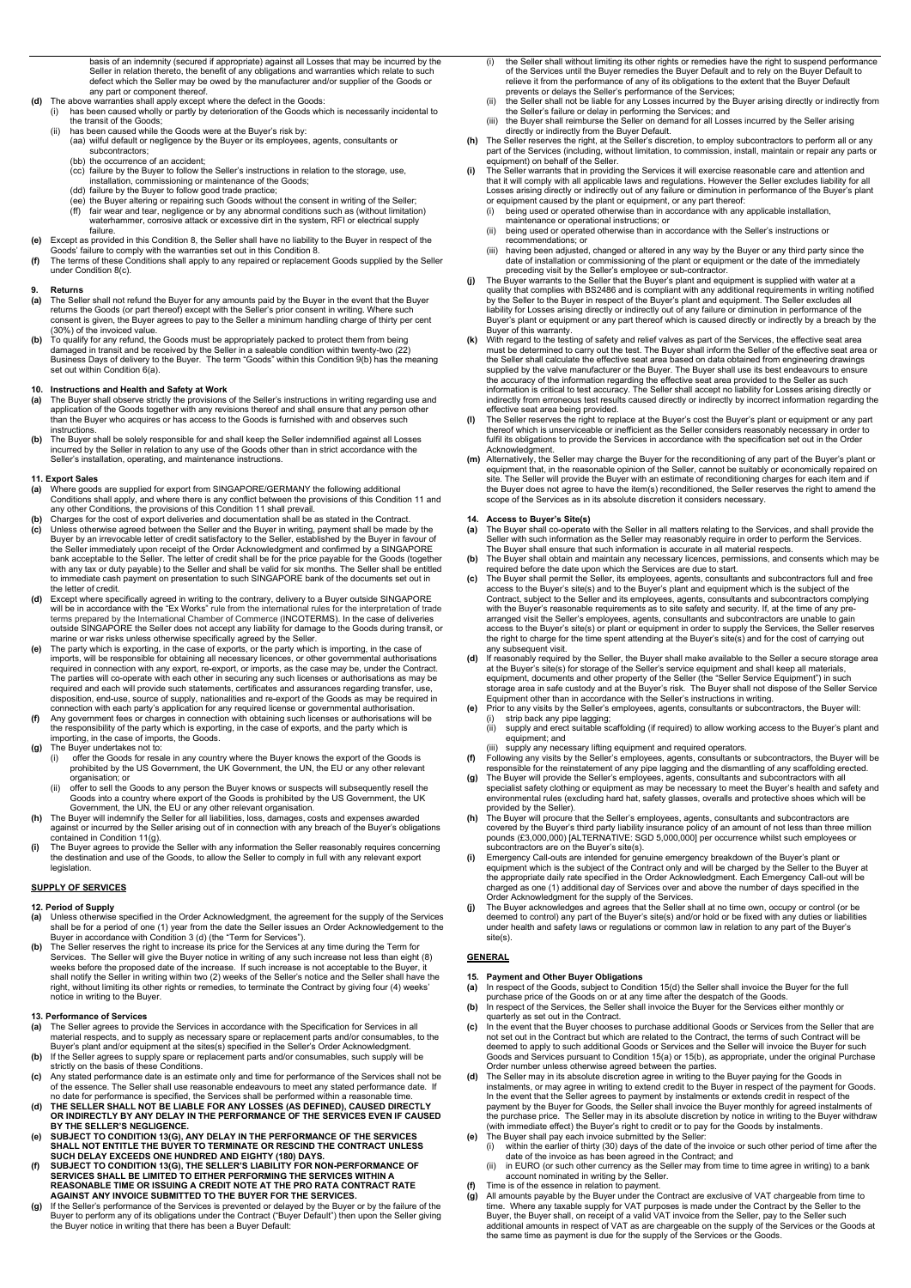basis of an indemnity (secured if appropriate) against all Losses that may be incurred by the Seller in relation thereto, the benefit of any obligations and warranties which relate to such defect which the Seller may be owed by the manufacturer and/or supplier of the Goods or any part or component thereof.

- (d) The above warranties shall apply except where the defect in the Goods:
- (i) has been caused wholly or partly by deterioration of the Goods which is necessarily incidental to the transit of the Goods;
	- (ii) has been caused while the Goods were at the Buyer's risk by:
		- (aa) wilful default or negligence by the Buyer or its employees, agents, consultants or subcontractors;
		- (bb) the occurrence of an accident;
		- (cc) failure by the Buyer to follow the Seller's instructions in relation to the storage, use, installation, commissioning or maintenance of the Goods;
		- (dd) failure by the Buyer to follow good trade practice;
		- (ee) the Buyer altering or repairing such Goods without the consent in writing of the Seller; (ff) fair wear and tear, negligence or by any abnormal conditions such as (without limitation) waterhammer, corrosive attack or excessive dirt in the system, RFI or electrical supply failure.
- (e) Except as provided in this Condition 8, the Seller shall have no liability to the Buyer in respect of the Goods' failure to comply with the warranties set out in this Condition 8.
- (f) The terms of these Conditions shall apply to any repaired or replacement Goods supplied by the Seller under Condition 8(c).

#### 9. Returns

- (a) The Seller shall not refund the Buyer for any amounts paid by the Buyer in the event that the Buyer returns the Goods (or part thereof) except with the Seller's prior consent in writing. Where such consent is given, the Buyer agrees to pay to the Seller a minimum handling charge of thirty per cent (30%) of the invoiced value.
- (b) To qualify for any refund, the Goods must be appropriately packed to protect them from being damaged in transit and be received by the Seller in a saleable condition within twenty-two (22) Business Days of delivery to the Buyer. The term "Goods" within this Condition 9(b) has the meaning set out within Condition 6(a).

## 10. Instructions and Health and Safety at Work

- (a) The Buyer shall observe strictly the provisions of the Seller's instructions in writing regarding use and application of the Goods together with any revisions thereof and shall ensure that any person other than the Buyer who acquires or has access to the Goods is furnished with and observes such instructions.
- (b) The Buyer shall be solely responsible for and shall keep the Seller indemnified against all Losses incurred by the Seller in relation to any use of the Goods other than in strict accordance with the Seller's installation, operating, and maintenance instructions.

## 11. Export Sales

- (a) Where goods are supplied for export from SINGAPORE/GERMANY the following additional Conditions shall apply, and where there is any conflict between the provisions of this Condition 11 and any other Conditions, the provisions of this Condition 11 shall prevail.
- (b) Charges for the cost of export deliveries and documentation shall be as stated in the Contract.
- (c) Unless otherwise agreed between the Seller and the Buyer in writing, payment shall be made by the Buyer by an irrevocable letter of credit satisfactory to the Seller, established by the Buyer in favour of the Seller immediately upon receipt of the Order Acknowledgment and confirmed by a SINGAPORE bank acceptable to the Seller. The letter of credit shall be for the price payable for the Goods (together with any tax or duty payable) to the Seller and shall be valid for six months. The Seller shall be entitled to immediate cash payment on presentation to such SINGAPORE bank of the documents set out in the letter of credit.
- (d) Except where specifically agreed in writing to the contrary, delivery to a Buyer outside SINGAPORE will be in accordance with the "Ex Works" rule from the international rules for the interpretation of trade terms prepared by the International Chamber of Commerce (INCOTERMS). In the case of deliveries outside SINGAPORE the Seller does not accept any liability for damage to the Goods during transit, or marine or war risks unless otherwise specifically agreed by the Seller.
- (e) The party which is exporting, in the case of exports, or the party which is importing, in the case of imports, will be responsible for obtaining all necessary licences, or other governmental authorisations required in connection with any export, re-export, or imports, as the case may be, under the Contract. The parties will co-operate with each other in securing any such licenses or authorisations as may be required and each will provide such statements, certificates and assurances regarding transfer, use, disposition, end-use, source of supply, nationalities and re-export of the Goods as may be required in connection with each party's application for any required license or governmental authorisation.
- (f) Any government fees or charges in connection with obtaining such licenses or authorisations will be the responsibility of the party which is exporting, in the case of exports, and the party which is importing, in the case of imports, the Goods.
- (g) The Buyer undertakes not to:
	- (i) offer the Goods for resale in any country where the Buyer knows the export of the Goods is prohibited by the US Government, the UK Government, the UN, the EU or any other relevant organisation; or
	- offer to sell the Goods to any person the Buyer knows or suspects will subsequently resell the Goods into a country where export of the Goods is prohibited by the US Government, the UK Government, the UN, the EU or any other relevant organisation.
- (h) The Buyer will indemnify the Seller for all liabilities, loss, damages, costs and expenses awarded against or incurred by the Seller arising out of in connection with any breach of the Buyer's obligations contained in Condition 11(g).
- (i) The Buyer agrees to provide the Seller with any information the Seller reasonably requires concerning the destination and use of the Goods, to allow the Seller to comply in full with any relevant export legislation.

# **SUPPLY OF SERVICES**

#### 12. Period of Supply

- (a) Unless otherwise specified in the Order Acknowledgment, the agreement for the supply of the Services shall be for a period of one (1) year from the date the Seller issues an Order Acknowledgement to the Buyer in accordance with Condition 3 (d) (the "Term for Services").
- (b) The Seller reserves the right to increase its price for the Services at any time during the Term for Services. The Seller will give the Buyer notice in writing of any such increase not less than eight (8) weeks before the proposed date of the increase. If such increase is not acceptable to the Buyer, it

shall notify the Seller in writing within two (2) weeks of the Seller's notice and the Seller shall have the right, without limiting its other rights or remedies, to terminate the Contract by giving four (4) weeks' notice in writing to the Buyer.

## 13. Performance of Services

- (a) The Seller agrees to provide the Services in accordance with the Specification for Services in all material respects, and to supply as necessary spare or replacement parts and/or consumables, to the Buyer's plant and/or equipment at the sites(s) specified in the Seller's Order Acknowledgment.
- (b) If the Seller agrees to supply spare or replacement parts and/or consumables, such supply will be strictly on the basis of these Conditions.
- (c) Any stated performance date is an estimate only and time for performance of the Services shall not be of the essence. The Seller shall use reasonable endeavours to meet any stated performance date. If no date for performance is specified, the Services shall be performed within a reasonable time.
- (d) THE SELLER SHALL NOT BE LIABLE FOR ANY LOSSES (AS DEFINED), CAUSED DIRECTLY OR INDIRECTLY BY ANY DELAY IN THE PERFORMANCE OF THE SERVICES EVEN IF CAUSED BY THE SELLER'S NEGLIGENCE.
- (e) SUBJECT TO CONDITION 13(G), ANY DELAY IN THE PERFORMANCE OF THE SERVICES SHALL NOT ENTITLE THE BUYER TO TERMINATE OR RESCIND THE CONTRACT UNLESS SUCH DELAY EXCEEDS ONE HUNDRED AND EIGHTY (180) DAYS.
- (f) SUBJECT TO CONDITION 13(G), THE SELLER'S LIABILITY FOR NON-PERFORMANCE OF SERVICES SHALL BE LIMITED TO EITHER PERFORMING THE SERVICES WITHIN A REASONABLE TIME OR ISSUING A CREDIT NOTE AT THE PRO RATA CONTRACT RATE AGAINST ANY INVOICE SUBMITTED TO THE BUYER FOR THE SERVICES.
- (g) If the Seller's performance of the Services is prevented or delayed by the Buyer or by the failure of the Buyer to perform any of its obligations under the Contract ("Buyer Default") then upon the Seller giving the Buyer notice in writing that there has been a Buyer Default:
- (i) the Seller shall without limiting its other rights or remedies have the right to suspend performance of the Services until the Buyer remedies the Buyer Default and to rely on the Buyer Default to relieve it from the performance of any of its obligations to the extent that the Buyer Default prevents or delays the Seller's performance of the Services;
- (ii) the Seller shall not be liable for any Losses incurred by the Buyer arising directly or indirectly from the Seller's failure or delay in performing the Services; and
- (iii) the Buyer shall reimburse the Seller on demand for all Losses incurred by the Seller arising directly or indirectly from the Buyer Default.
- (h) The Seller reserves the right, at the Seller's discretion, to employ subcontractors to perform all or any part of the Services (including, without limitation, to commission, install, maintain or repair any parts or equipment) on behalf of the Seller.
- The Seller warrants that in providing the Services it will exercise reasonable care and attention and that it will comply with all applicable laws and regulations. However the Seller excludes liability for all Losses arising directly or indirectly out of any failure or diminution in performance of the Buyer's plant or equipment caused by the plant or equipment, or any part thereof:
	- (i) being used or operated otherwise than in accordance with any applicable installation, maintenance or operational instructions; or
	- (ii) being used or operated otherwise than in accordance with the Seller's instructions or recommendations; or
	- (iii) having been adjusted, changed or altered in any way by the Buyer or any third party since the date of installation or commissioning of the plant or equipment or the date of the immediately preceding visit by the Seller's employee or sub-contractor.
- (j) The Buyer warrants to the Seller that the Buyer's plant and equipment is supplied with water at a quality that complies with BS2486 and is compliant with any additional requirements in writing notified by the Seller to the Buyer in respect of the Buyer's plant and equipment. The Seller excludes all liability for Losses arising directly or indirectly out of any failure or diminution in performance of the Buyer's plant or equipment or any part thereof which is caused directly or indirectly by a breach by the Buyer of this warranty.
- With regard to the testing of safety and relief valves as part of the Services, the effective seat area must be determined to carry out the test. The Buyer shall inform the Seller of the effective seat area or the Seller shall calculate the effective seat area based on data obtained from engineering drawings supplied by the valve manufacturer or the Buyer. The Buyer shall use its best endeavours to ensure the accuracy of the information regarding the effective seat area provided to the Seller as such information is critical to test accuracy. The Seller shall accept no liability for Losses arising directly or indirectly from erroneous test results caused directly or indirectly by incorrect information regarding the effective seat area being provided.
- (l) The Seller reserves the right to replace at the Buyer's cost the Buyer's plant or equipment or any part thereof which is unserviceable or inefficient as the Seller considers reasonably necessary in order to fulfil its obligations to provide the Services in accordance with the specification set out in the Order Acknowledgment.
- (m) Alternatively, the Seller may charge the Buyer for the reconditioning of any part of the Buyer's plant or equipment that, in the reasonable opinion of the Seller, cannot be suitably or economically repaired on site. The Seller will provide the Buyer with an estimate of reconditioning charges for each item and if the Buyer does not agree to have the item(s) reconditioned, the Seller reserves the right to amend the scope of the Services as in its absolute discretion it considers necessary.

# 14. Access to Buyer's Site(s)

- (a) The Buyer shall co-operate with the Seller in all matters relating to the Services, and shall provide the Seller with such information as the Seller may reasonably require in order to perform the Services. The Buyer shall ensure that such information is accurate in all material respects.
- (b) The Buyer shall obtain and maintain any necessary licences, permissions, and consents which may be required before the date upon which the Services are due to start.
- (c) The Buyer shall permit the Seller, its employees, agents, consultants and subcontractors full and free access to the Buyer's site(s) and to the Buyer's plant and equipment which is the subject of the Contract, subject to the Seller and its employees, agents, consultants and subcontractors complying with the Buyer's reasonable requirements as to site safety and security. If, at the time of any prearranged visit the Seller's employees, agents, consultants and subcontractors are unable to gain access to the Buyer's site(s) or plant or equipment in order to supply the Services, the Seller reserves the right to charge for the time spent attending at the Buyer's site(s) and for the cost of carrying out any subsequent visit.
- (d) If reasonably required by the Seller, the Buyer shall make available to the Seller a secure storage area at the Buyer's site(s) for storage of the Seller's service equipment and shall keep all materials, equipment, documents and other property of the Seller (the "Seller Service Equipment") in such storage area in safe custody and at the Buyer's risk. The Buyer shall not dispose of the Seller Service Equipment other than in accordance with the Seller's instructions in writing.
- (e) Prior to any visits by the Seller's employees, agents, consultants or subcontractors, the Buyer will: (i) strip back any pipe lagging;
	- (ii) supply and erect suitable scaffolding (if required) to allow working access to the Buyer's plant and equipment; and
- (iii) supply any necessary lifting equipment and required operators.
- (f) Following any visits by the Seller's employees, agents, consultants or subcontractors, the Buyer will be responsible for the reinstatement of any pipe lagging and the dismantling of any scaffolding erected.
- (g) The Buyer will provide the Seller's employees, agents, consultants and subcontractors with all specialist safety clothing or equipment as may be necessary to meet the Buyer's health and safety and environmental rules (excluding hard hat, safety glasses, overalls and protective shoes which will be provided by the Seller).
- (h) The Buyer will procure that the Seller's employees, agents, consultants and subcontractors are covered by the Buyer's third party liability insurance policy of an amount of not less than three million pounds (£3,000,000) [ALTERNATIVE: SGD 5,000,000] per occurrence whilst such employees or subcontractors are on the Buyer's site(s).
- (i) Emergency Call-outs are intended for genuine emergency breakdown of the Buyer's plant or equipment which is the subject of the Contract only and will be charged by the Seller to the Buyer at the appropriate daily rate specified in the Order Acknowledgment. Each Emergency Call-out will be charged as one (1) additional day of Services over and above the number of days specified in the Order Acknowledgment for the supply of the Services.
- (j) The Buyer acknowledges and agrees that the Seller shall at no time own, occupy or control (or be deemed to control) any part of the Buyer's site(s) and/or hold or be fixed with any duties or liabilities under health and safety laws or regulations or common law in relation to any part of the Buyer's site(s).

# **GENERAL**

#### 15. Payment and Other Buyer Obligations

- (a) In respect of the Goods, subject to Condition 15(d) the Seller shall invoice the Buyer for the full purchase price of the Goods on or at any time after the despatch of the Goods.
- (b) In respect of the Services, the Seller shall invoice the Buyer for the Services either monthly or quarterly as set out in the Contract.
- (c) In the event that the Buyer chooses to purchase additional Goods or Services from the Seller that are not set out in the Contract but which are related to the Contract, the terms of such Contract will be deemed to apply to such additional Goods or Services and the Seller will invoice the Buyer for such Goods and Services pursuant to Condition 15(a) or 15(b), as appropriate, under the original Purchase Order number unless otherwise agreed between the parties.
- (d) The Seller may in its absolute discretion agree in writing to the Buyer paying for the Goods in instalments, or may agree in writing to extend credit to the Buyer in respect of the payment for Goods. In the event that the Seller agrees to payment by instalments or extends credit in respect of the payment by the Buyer for Goods, the Seller shall invoice the Buyer monthly for agreed instalments of the purchase price. The Seller may in its absolute discretion by notice in writing to the Buyer withdraw (with immediate effect) the Buyer's right to credit or to pay for the Goods by instalments.
- (e) The Buyer shall pay each invoice submitted by the Seller:
	- (i) within the earlier of thirty (30) days of the date of the invoice or such other period of time after the date of the invoice as has been agreed in the Contract; and
	- (ii) in EURO (or such other currency as the Seller may from time to time agree in writing) to a bank account nominated in writing by the Seller.
- Time is of the essence in relation to payment.
- (g) All amounts payable by the Buyer under the Contract are exclusive of VAT chargeable from time to time. Where any taxable supply for VAT purposes is made under the Contract by the Seller to the Buyer, the Buyer shall, on receipt of a valid VAT invoice from the Seller, pay to the Seller such additional amounts in respect of VAT as are chargeable on the supply of the Services or the Goods at the same time as payment is due for the supply of the Services or the Goods.